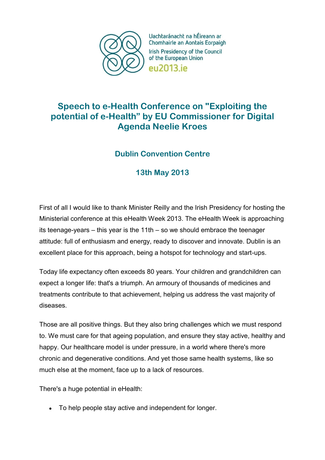

Uachtaránacht na hÉireann ar Chomhairle an Aontais Eorpaigh Irish Presidency of the Council of the European Union eu2013.ie

## **Speech to e-Health Conference on "Exploiting the potential of e-Health" by EU Commissioner for Digital Agenda Neelie Kroes**

## **Dublin Convention Centre**

## **13th May 2013**

First of all I would like to thank Minister Reilly and the Irish Presidency for hosting the Ministerial conference at this eHealth Week 2013. The eHealth Week is approaching its teenage-years – this year is the 11th – so we should embrace the teenager attitude: full of enthusiasm and energy, ready to discover and innovate. Dublin is an excellent place for this approach, being a hotspot for technology and start-ups.

Today life expectancy often exceeds 80 years. Your children and grandchildren can expect a longer life: that's a triumph. An armoury of thousands of medicines and treatments contribute to that achievement, helping us address the vast majority of diseases.

Those are all positive things. But they also bring challenges which we must respond to. We must care for that ageing population, and ensure they stay active, healthy and happy. Our healthcare model is under pressure, in a world where there's more chronic and degenerative conditions. And yet those same health systems, like so much else at the moment, face up to a lack of resources.

There's a huge potential in eHealth:

To help people stay active and independent for longer.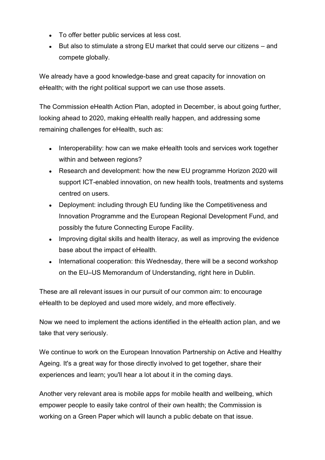- To offer better public services at less cost.
- But also to stimulate a strong EU market that could serve our citizens and compete globally.

We already have a good knowledge-base and great capacity for innovation on eHealth; with the right political support we can use those assets.

The Commission eHealth Action Plan, adopted in December, is about going further, looking ahead to 2020, making eHealth really happen, and addressing some remaining challenges for eHealth, such as:

- Interoperability: how can we make eHealth tools and services work together within and between regions?
- Research and development: how the new EU programme Horizon 2020 will support ICT-enabled innovation, on new health tools, treatments and systems centred on users.
- Deployment: including through EU funding like the Competitiveness and Innovation Programme and the European Regional Development Fund, and possibly the future Connecting Europe Facility.
- Improving digital skills and health literacy, as well as improving the evidence base about the impact of eHealth.
- International cooperation: this Wednesday, there will be a second workshop on the EU–US Memorandum of Understanding, right here in Dublin.

These are all relevant issues in our pursuit of our common aim: to encourage eHealth to be deployed and used more widely, and more effectively.

Now we need to implement the actions identified in the eHealth action plan, and we take that very seriously.

We continue to work on the European Innovation Partnership on Active and Healthy Ageing. It's a great way for those directly involved to get together, share their experiences and learn; you'll hear a lot about it in the coming days.

Another very relevant area is mobile apps for mobile health and wellbeing, which empower people to easily take control of their own health; the Commission is working on a Green Paper which will launch a public debate on that issue.